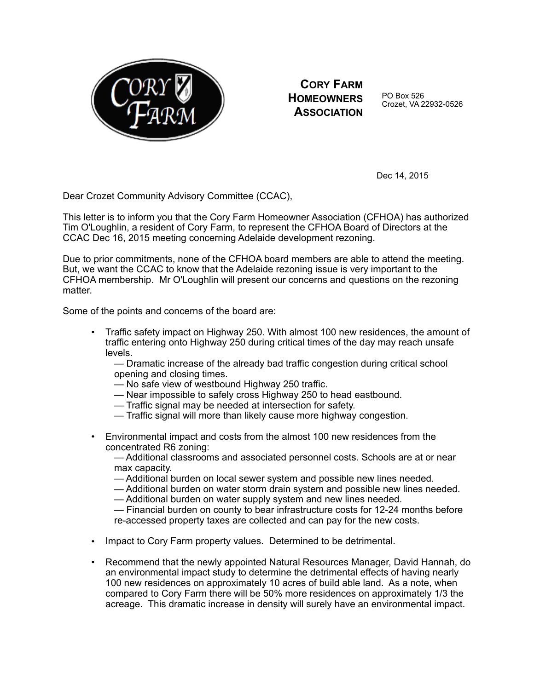

**CORY FARM HOMEOWNERS ASSOCIATION**

PO Box 526 Crozet, VA 22932-0526

Dec 14, 2015

Dear Crozet Community Advisory Committee (CCAC),

This letter is to inform you that the Cory Farm Homeowner Association (CFHOA) has authorized Tim O'Loughlin, a resident of Cory Farm, to represent the CFHOA Board of Directors at the CCAC Dec 16, 2015 meeting concerning Adelaide development rezoning.

Due to prior commitments, none of the CFHOA board members are able to attend the meeting. But, we want the CCAC to know that the Adelaide rezoning issue is very important to the CFHOA membership. Mr O'Loughlin will present our concerns and questions on the rezoning matter

Some of the points and concerns of the board are:

• Traffic safety impact on Highway 250. With almost 100 new residences, the amount of traffic entering onto Highway 250 during critical times of the day may reach unsafe levels.

— Dramatic increase of the already bad traffic congestion during critical school opening and closing times.

- No safe view of westbound Highway 250 traffic.
- Near impossible to safely cross Highway 250 to head eastbound.
- Traffic signal may be needed at intersection for safety.
- Traffic signal will more than likely cause more highway congestion.
- Environmental impact and costs from the almost 100 new residences from the concentrated R6 zoning:

— Additional classrooms and associated personnel costs. Schools are at or near max capacity.

— Additional burden on local sewer system and possible new lines needed.

— Additional burden on water storm drain system and possible new lines needed.

— Additional burden on water supply system and new lines needed.

— Financial burden on county to bear infrastructure costs for 12-24 months before re-accessed property taxes are collected and can pay for the new costs.

- Impact to Cory Farm property values. Determined to be detrimental.
- Recommend that the newly appointed Natural Resources Manager, David Hannah, do an environmental impact study to determine the detrimental effects of having nearly 100 new residences on approximately 10 acres of build able land. As a note, when compared to Cory Farm there will be 50% more residences on approximately 1/3 the acreage. This dramatic increase in density will surely have an environmental impact.